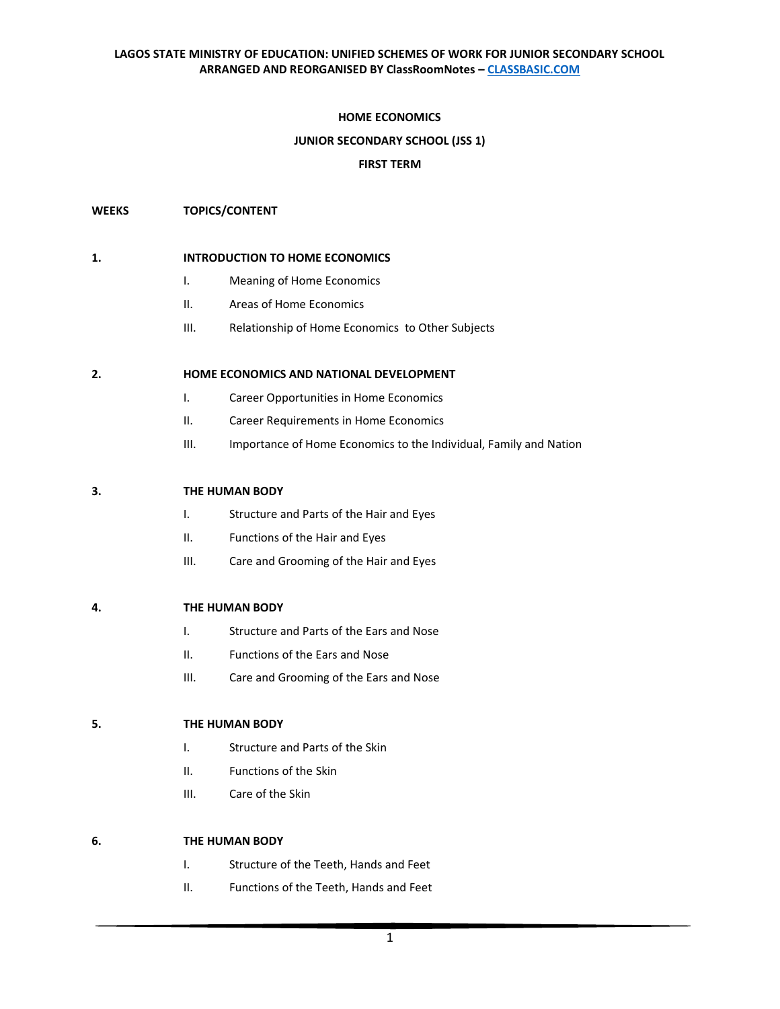# **HOME ECONOMICS**

## **JUNIOR SECONDARY SCHOOL (JSS 1)**

## **FIRST TERM**

## **WEEKS TOPICS/CONTENT**

# **1. INTRODUCTION TO HOME ECONOMICS**

- I. Meaning of Home Economics
- II. Areas of Home Economics
- III. Relationship of Home Economics to Other Subjects

## **2. HOME ECONOMICS AND NATIONAL DEVELOPMENT**

- I. Career Opportunities in Home Economics
- II. Career Requirements in Home Economics
- III. Importance of Home Economics to the Individual, Family and Nation

## **3. THE HUMAN BODY**

- I. Structure and Parts of the Hair and Eyes
- II. Functions of the Hair and Eyes
- III. Care and Grooming of the Hair and Eyes

#### **4. THE HUMAN BODY**

- I. Structure and Parts of the Ears and Nose
- II. Functions of the Ears and Nose
- III. Care and Grooming of the Ears and Nose

## **5. THE HUMAN BODY**

- I. Structure and Parts of the Skin
- II. Functions of the Skin
- III. Care of the Skin

# **6. THE HUMAN BODY**

- I. Structure of the Teeth, Hands and Feet
- II. Functions of the Teeth, Hands and Feet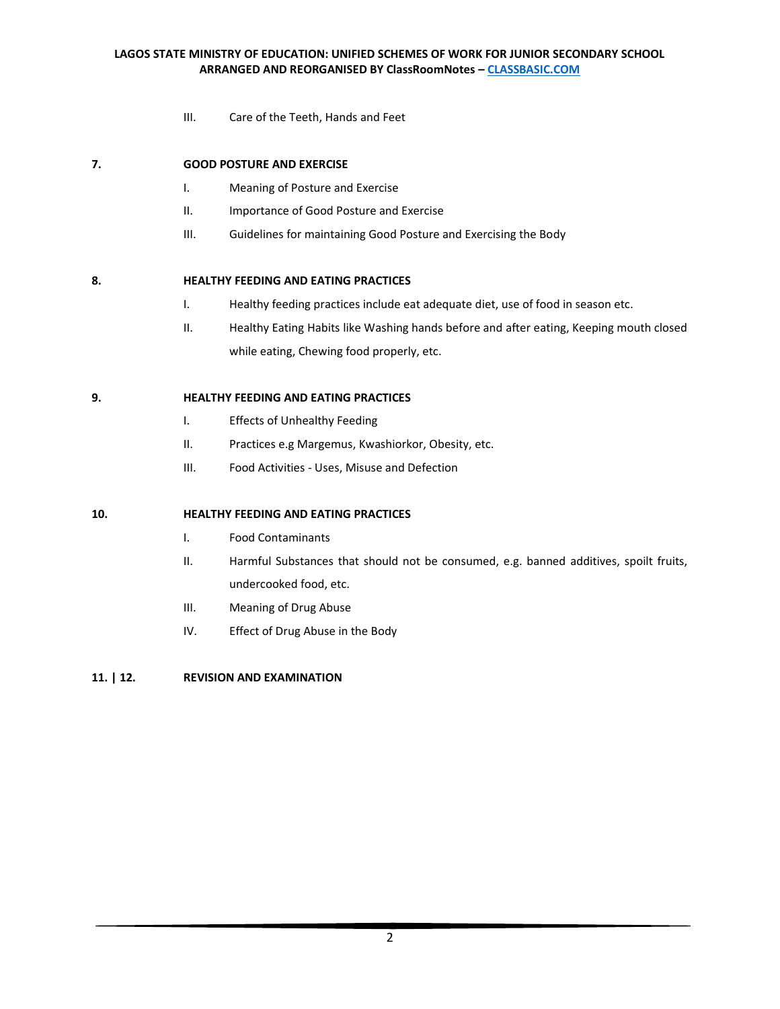III. Care of the Teeth, Hands and Feet

# **7. GOOD POSTURE AND EXERCISE**

- I. Meaning of Posture and Exercise
- II. Importance of Good Posture and Exercise
- III. Guidelines for maintaining Good Posture and Exercising the Body

# **8. HEALTHY FEEDING AND EATING PRACTICES**

- I. Healthy feeding practices include eat adequate diet, use of food in season etc.
- II. Healthy Eating Habits like Washing hands before and after eating, Keeping mouth closed while eating, Chewing food properly, etc.

## **9. HEALTHY FEEDING AND EATING PRACTICES**

- I. Effects of Unhealthy Feeding
- II. Practices e.g Margemus, Kwashiorkor, Obesity, etc.
- III. Food Activities Uses, Misuse and Defection

# **10. HEALTHY FEEDING AND EATING PRACTICES**

- I. Food Contaminants
- II. Harmful Substances that should not be consumed, e.g. banned additives, spoilt fruits, undercooked food, etc.
- III. Meaning of Drug Abuse
- IV. Effect of Drug Abuse in the Body

# **11. | 12. REVISION AND EXAMINATION**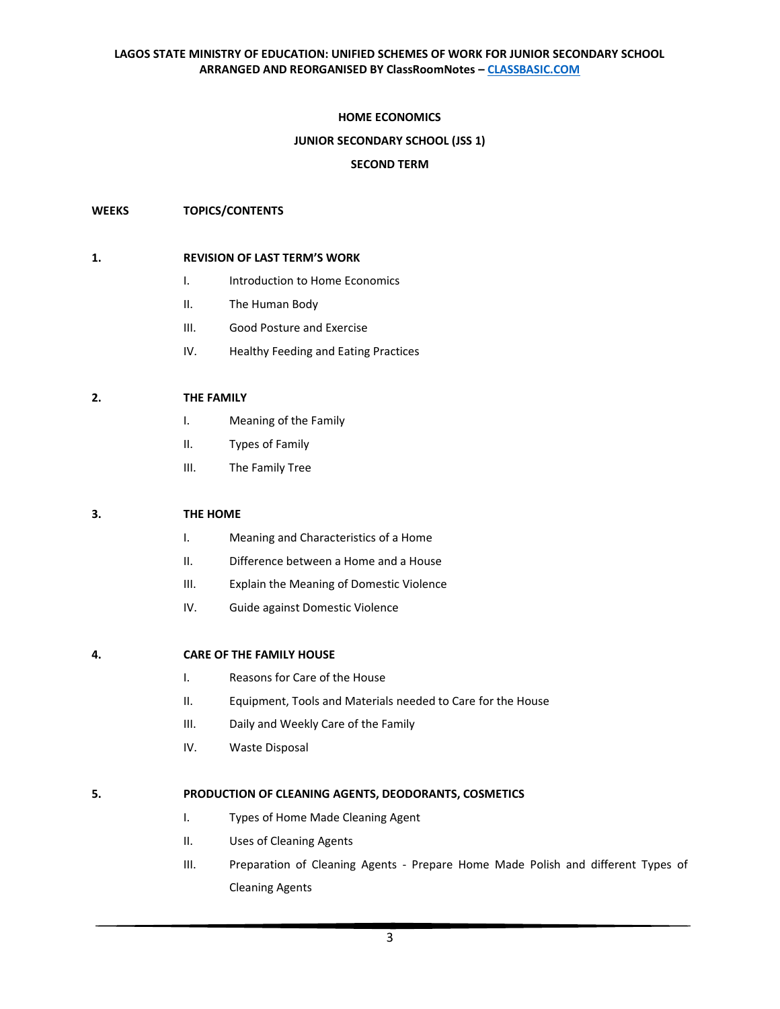# **HOME ECONOMICS**

## **JUNIOR SECONDARY SCHOOL (JSS 1)**

## **SECOND TERM**

## **WEEKS TOPICS/CONTENTS**

## **1. REVISION OF LAST TERM'S WORK**

- I. Introduction to Home Economics
- II. The Human Body
- III. Good Posture and Exercise
- IV. Healthy Feeding and Eating Practices

#### **2. THE FAMILY**

- I. Meaning of the Family
- II. Types of Family
- III. The Family Tree

# **3. THE HOME**

- I. Meaning and Characteristics of a Home
- II. Difference between a Home and a House
- III. Explain the Meaning of Domestic Violence
- IV. Guide against Domestic Violence

#### **4. CARE OF THE FAMILY HOUSE**

- I. Reasons for Care of the House
- II. Equipment, Tools and Materials needed to Care for the House
- III. Daily and Weekly Care of the Family
- IV. Waste Disposal

#### **5. PRODUCTION OF CLEANING AGENTS, DEODORANTS, COSMETICS**

- I. Types of Home Made Cleaning Agent
- II. Uses of Cleaning Agents
- III. Preparation of Cleaning Agents Prepare Home Made Polish and different Types of Cleaning Agents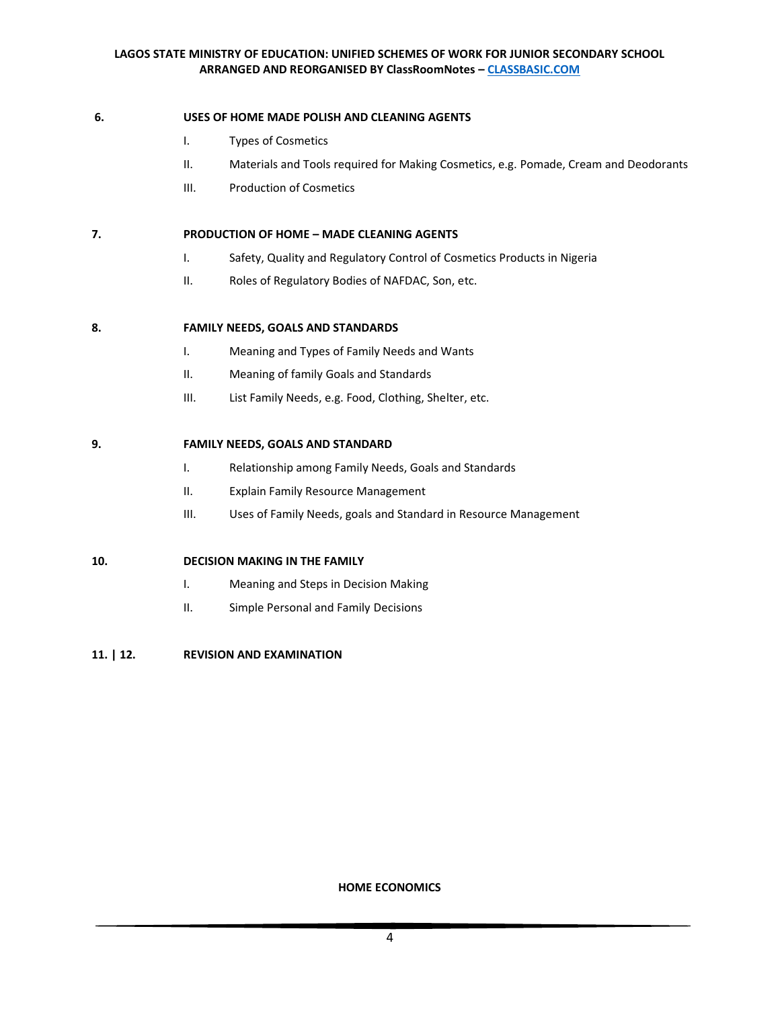# **6. USES OF HOME MADE POLISH AND CLEANING AGENTS**

- I. Types of Cosmetics
- II. Materials and Tools required for Making Cosmetics, e.g. Pomade, Cream and Deodorants
- III. Production of Cosmetics

# **7. PRODUCTION OF HOME – MADE CLEANING AGENTS**

- I. Safety, Quality and Regulatory Control of Cosmetics Products in Nigeria
- II. Roles of Regulatory Bodies of NAFDAC, Son, etc.

## **8. FAMILY NEEDS, GOALS AND STANDARDS**

- I. Meaning and Types of Family Needs and Wants
- II. Meaning of family Goals and Standards
- III. List Family Needs, e.g. Food, Clothing, Shelter, etc.

## **9. FAMILY NEEDS, GOALS AND STANDARD**

- I. Relationship among Family Needs, Goals and Standards
- II. Explain Family Resource Management
- III. Uses of Family Needs, goals and Standard in Resource Management

# **10. DECISION MAKING IN THE FAMILY**

- I. Meaning and Steps in Decision Making
- II. Simple Personal and Family Decisions

# **11. | 12. REVISION AND EXAMINATION**

**HOME ECONOMICS**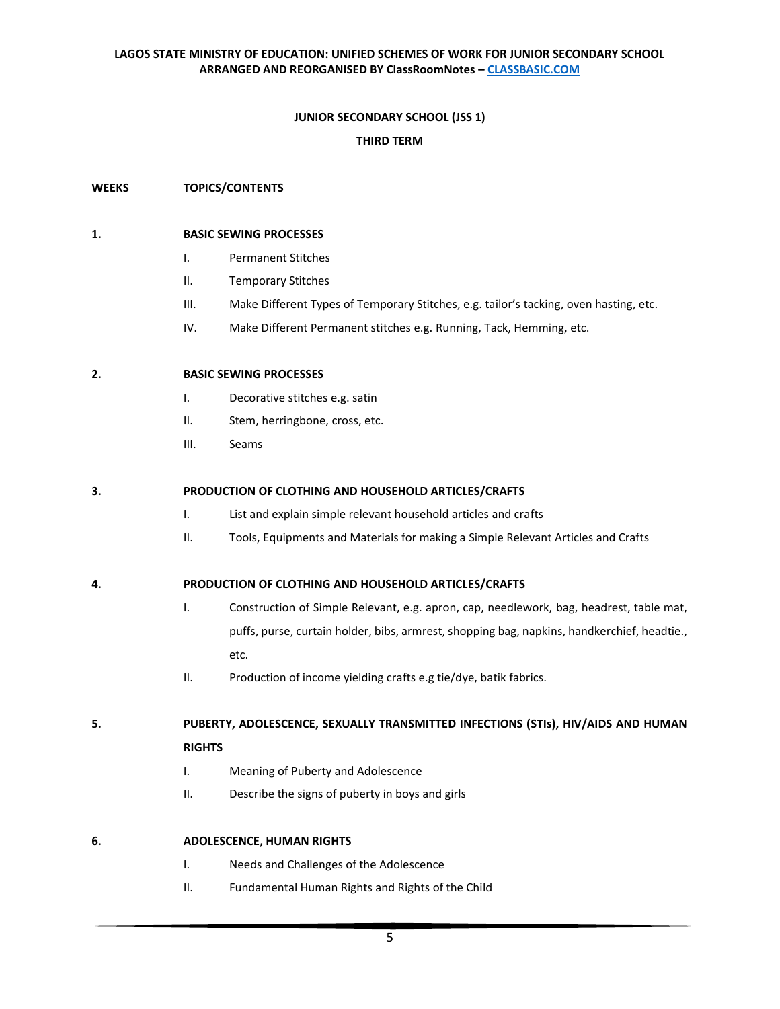# **JUNIOR SECONDARY SCHOOL (JSS 1)**

## **THIRD TERM**

## **WEEKS TOPICS/CONTENTS**

## **1. BASIC SEWING PROCESSES**

- I. Permanent Stitches
- II. Temporary Stitches
- III. Make Different Types of Temporary Stitches, e.g. tailor's tacking, oven hasting, etc.
- IV. Make Different Permanent stitches e.g. Running, Tack, Hemming, etc.

# **2. BASIC SEWING PROCESSES**

- I. Decorative stitches e.g. satin
- II. Stem, herringbone, cross, etc.
- III. Seams

## **3. PRODUCTION OF CLOTHING AND HOUSEHOLD ARTICLES/CRAFTS**

- I. List and explain simple relevant household articles and crafts
- II. Tools, Equipments and Materials for making a Simple Relevant Articles and Crafts

#### **4. PRODUCTION OF CLOTHING AND HOUSEHOLD ARTICLES/CRAFTS**

- I. Construction of Simple Relevant, e.g. apron, cap, needlework, bag, headrest, table mat, puffs, purse, curtain holder, bibs, armrest, shopping bag, napkins, handkerchief, headtie., etc.
- II. Production of income yielding crafts e.g tie/dye, batik fabrics.

# **5. PUBERTY, ADOLESCENCE, SEXUALLY TRANSMITTED INFECTIONS (STIs), HIV/AIDS AND HUMAN**

# **RIGHTS**

- I. Meaning of Puberty and Adolescence
- II. Describe the signs of puberty in boys and girls

# **6. ADOLESCENCE, HUMAN RIGHTS**

- I. Needs and Challenges of the Adolescence
- II. Fundamental Human Rights and Rights of the Child